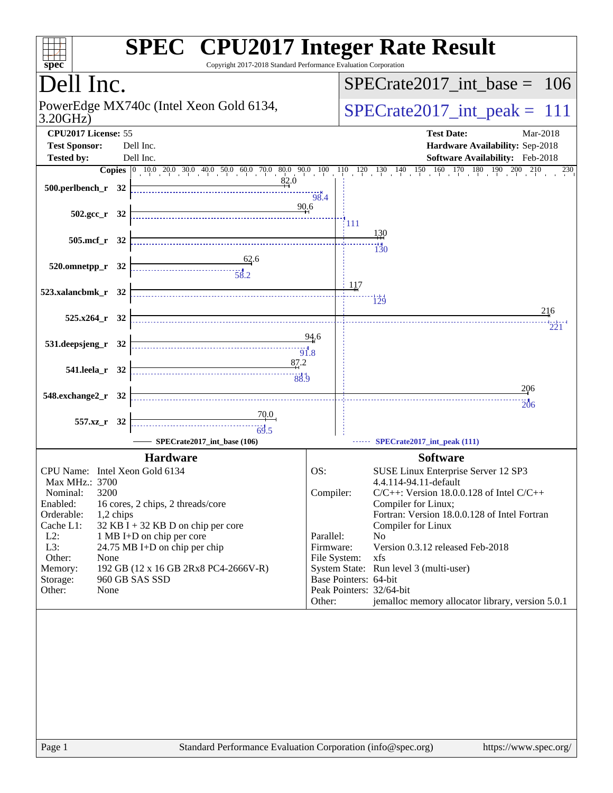| spec <sup>®</sup>                                                             | <b>SPEC<sup>®</sup></b> CPU2017 Integer Rate Result<br>Copyright 2017-2018 Standard Performance Evaluation Corporation                                                             |
|-------------------------------------------------------------------------------|------------------------------------------------------------------------------------------------------------------------------------------------------------------------------------|
| Dell Inc.                                                                     | $SPECrate2017\_int\_base =$<br><sup>106</sup>                                                                                                                                      |
| PowerEdge MX740c (Intel Xeon Gold 6134,<br>3.20GHz                            | $SPECrate2017\_int\_peak = 111$                                                                                                                                                    |
| CPU2017 License: 55<br><b>Test Sponsor:</b><br>Dell Inc.                      | <b>Test Date:</b><br>Mar-2018<br>Hardware Availability: Sep-2018                                                                                                                   |
| Dell Inc.<br><b>Tested by:</b>                                                | Software Availability: Feb-2018                                                                                                                                                    |
|                                                                               | <b>Copies</b> $\begin{bmatrix} 0 & 10 & 0 & 20 & 0 & 30 & 40 & 50 & 60 & 0 & 70 & 80 & 90 & 10 & 11 & 12 & 13 & 140 & 150 & 160 & 170 & 180 & 190 & 200 & 210 & 230 \end{bmatrix}$ |
| 82.0<br>$500.$ perlbench_r 32                                                 | 98.4                                                                                                                                                                               |
| $502.\text{gcc r}$ 32                                                         | 90.6<br>[111                                                                                                                                                                       |
| $505$ .mcf $r$ 32                                                             | 130<br>130                                                                                                                                                                         |
| $\frac{62}{ }$ .6<br>520.omnetpp_r 32                                         |                                                                                                                                                                                    |
| 523.xalancbmk_r 32                                                            | 117<br>129                                                                                                                                                                         |
| 525.x264_r 32                                                                 | 216<br>221                                                                                                                                                                         |
| 531.deepsjeng_r 32                                                            | 94.6                                                                                                                                                                               |
| 87.2<br>541.leela r 32<br>88.9                                                |                                                                                                                                                                                    |
| 548.exchange2_r 32                                                            | 206<br><b>206</b>                                                                                                                                                                  |
| 557.xz_r 32<br>$\frac{1}{69.5}$                                               |                                                                                                                                                                                    |
| SPECrate2017_int_base (106)                                                   | SPECrate2017_int_peak (111)                                                                                                                                                        |
| <b>Hardware</b>                                                               | <b>Software</b>                                                                                                                                                                    |
| CPU Name: Intel Xeon Gold 6134                                                | OS:<br>SUSE Linux Enterprise Server 12 SP3                                                                                                                                         |
| Max MHz.: 3700                                                                | 4.4.114-94.11-default                                                                                                                                                              |
| Nominal:<br>3200<br>Enabled:                                                  | Compiler:<br>$C/C++$ : Version 18.0.0.128 of Intel $C/C++$<br>Compiler for Linux;                                                                                                  |
| 16 cores, 2 chips, 2 threads/core<br>Orderable:<br>1,2 chips                  | Fortran: Version 18.0.0.128 of Intel Fortran                                                                                                                                       |
| Cache L1:<br>$32$ KB I + 32 KB D on chip per core                             | Compiler for Linux                                                                                                                                                                 |
| $L2$ :<br>1 MB I+D on chip per core                                           | Parallel:<br>No                                                                                                                                                                    |
| L3:<br>24.75 MB I+D on chip per chip                                          | Version 0.3.12 released Feb-2018<br>Firmware:                                                                                                                                      |
| Other:<br>None                                                                | File System:<br>xfs                                                                                                                                                                |
| 192 GB (12 x 16 GB 2Rx8 PC4-2666V-R)<br>Memory:<br>960 GB SAS SSD<br>Storage: | System State: Run level 3 (multi-user)<br>Base Pointers: 64-bit                                                                                                                    |
| Other:<br>None                                                                | Peak Pointers: 32/64-bit                                                                                                                                                           |
|                                                                               | jemalloc memory allocator library, version 5.0.1<br>Other:                                                                                                                         |
|                                                                               |                                                                                                                                                                                    |
| Page 1                                                                        | Standard Performance Evaluation Corporation (info@spec.org)<br>https://www.spec.org/                                                                                               |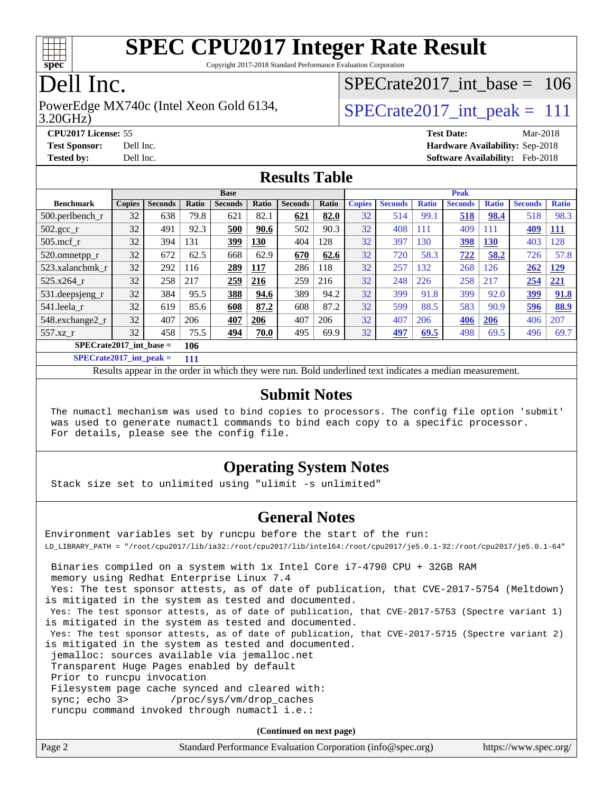

Copyright 2017-2018 Standard Performance Evaluation Corporation

## Dell Inc.

3.20GHz) PowerEdge MX740c (Intel Xeon Gold 6134,  $\vert$ [SPECrate2017\\_int\\_peak =](http://www.spec.org/auto/cpu2017/Docs/result-fields.html#SPECrate2017intpeak) 111

[SPECrate2017\\_int\\_base =](http://www.spec.org/auto/cpu2017/Docs/result-fields.html#SPECrate2017intbase) 106

**[Tested by:](http://www.spec.org/auto/cpu2017/Docs/result-fields.html#Testedby)** Dell Inc. **[Software Availability:](http://www.spec.org/auto/cpu2017/Docs/result-fields.html#SoftwareAvailability)** Feb-2018

**[CPU2017 License:](http://www.spec.org/auto/cpu2017/Docs/result-fields.html#CPU2017License)** 55 **[Test Date:](http://www.spec.org/auto/cpu2017/Docs/result-fields.html#TestDate)** Mar-2018 **[Test Sponsor:](http://www.spec.org/auto/cpu2017/Docs/result-fields.html#TestSponsor)** Dell Inc. **[Hardware Availability:](http://www.spec.org/auto/cpu2017/Docs/result-fields.html#HardwareAvailability)** Sep-2018

#### **[Results Table](http://www.spec.org/auto/cpu2017/Docs/result-fields.html#ResultsTable)**

|                           | <b>Base</b>   |                |       |                | <b>Peak</b> |                |       |               |                |              |                |              |                |              |
|---------------------------|---------------|----------------|-------|----------------|-------------|----------------|-------|---------------|----------------|--------------|----------------|--------------|----------------|--------------|
| <b>Benchmark</b>          | <b>Copies</b> | <b>Seconds</b> | Ratio | <b>Seconds</b> | Ratio       | <b>Seconds</b> | Ratio | <b>Copies</b> | <b>Seconds</b> | <b>Ratio</b> | <b>Seconds</b> | <b>Ratio</b> | <b>Seconds</b> | <b>Ratio</b> |
| $500$ .perlbench r        | 32            | 638            | 79.8  | 621            | 82.1        | 621            | 82.0  | 32            | 514            | 99.1         | 518            | 98.4         | 518            | 98.3         |
| $502.\text{gcc}_r$        | 32            | 491            | 92.3  | 500            | 90.6        | 502            | 90.3  | 32            | 408            | 111          | 409            | 111          | 409            | <u>111</u>   |
| $505$ .mcf r              | 32            | 394            | 131   | 399            | 130         | 404            | 128   | 32            | 397            | 130          | 398            | 130          | 403            | 128          |
| 520.omnetpp_r             | 32            | 672            | 62.5  | 668            | 62.9        | 670            | 62.6  | 32            | 720            | 58.3         | 722            | 58.2         | 726            | 57.8         |
| 523.xalancbmk r           | 32            | 292            | 116   | 289            | 117         | 286            | 118   | 32            | 257            | 132          | 268            | 126          | 262            | <u>129</u>   |
| 525.x264 r                | 32            | 258            | 217   | 259            | 216         | 259            | 216   | 32            | 248            | 226          | 258            | 217          | 254            | <u>221</u>   |
| 531.deepsjeng_r           | 32            | 384            | 95.5  | 388            | 94.6        | 389            | 94.2  | 32            | 399            | 91.8         | 399            | 92.0         | 399            | 91.8         |
| 541.leela r               | 32            | 619            | 85.6  | 608            | 87.2        | 608            | 87.2  | 32            | 599            | 88.5         | 583            | 90.9         | 596            | 88.9         |
| 548.exchange2_r           | 32            | 407            | 206   | 407            | 206         | 407            | 206   | 32            | 407            | 206          | 406            | <b>206</b>   | 406            | 207          |
| 557.xz r                  | 32            | 458            | 75.5  | 494            | 70.0        | 495            | 69.9  | 32            | 497            | 69.5         | 498            | 69.5         | 496            | 69.7         |
| $SPECrate2017$ int base = |               |                | 106   |                |             |                |       |               |                |              |                |              |                |              |

**[SPECrate2017\\_int\\_peak =](http://www.spec.org/auto/cpu2017/Docs/result-fields.html#SPECrate2017intpeak) 111**

Results appear in the [order in which they were run.](http://www.spec.org/auto/cpu2017/Docs/result-fields.html#RunOrder) Bold underlined text [indicates a median measurement.](http://www.spec.org/auto/cpu2017/Docs/result-fields.html#Median)

#### **[Submit Notes](http://www.spec.org/auto/cpu2017/Docs/result-fields.html#SubmitNotes)**

 The numactl mechanism was used to bind copies to processors. The config file option 'submit' was used to generate numactl commands to bind each copy to a specific processor. For details, please see the config file.

#### **[Operating System Notes](http://www.spec.org/auto/cpu2017/Docs/result-fields.html#OperatingSystemNotes)**

Stack size set to unlimited using "ulimit -s unlimited"

#### **[General Notes](http://www.spec.org/auto/cpu2017/Docs/result-fields.html#GeneralNotes)**

Environment variables set by runcpu before the start of the run: LD\_LIBRARY\_PATH = "/root/cpu2017/lib/ia32:/root/cpu2017/lib/intel64:/root/cpu2017/je5.0.1-32:/root/cpu2017/je5.0.1-64" Binaries compiled on a system with 1x Intel Core i7-4790 CPU + 32GB RAM memory using Redhat Enterprise Linux 7.4 Yes: The test sponsor attests, as of date of publication, that CVE-2017-5754 (Meltdown) is mitigated in the system as tested and documented. Yes: The test sponsor attests, as of date of publication, that CVE-2017-5753 (Spectre variant 1) is mitigated in the system as tested and documented. Yes: The test sponsor attests, as of date of publication, that CVE-2017-5715 (Spectre variant 2) is mitigated in the system as tested and documented. jemalloc: sources available via jemalloc.net Transparent Huge Pages enabled by default Prior to runcpu invocation Filesystem page cache synced and cleared with: sync; echo 3> /proc/sys/vm/drop\_caches runcpu command invoked through numactl i.e.:

**(Continued on next page)**

| Page 2 | Standard Performance Evaluation Corporation (info@spec.org) | https://www.spec.org/ |
|--------|-------------------------------------------------------------|-----------------------|
|        |                                                             |                       |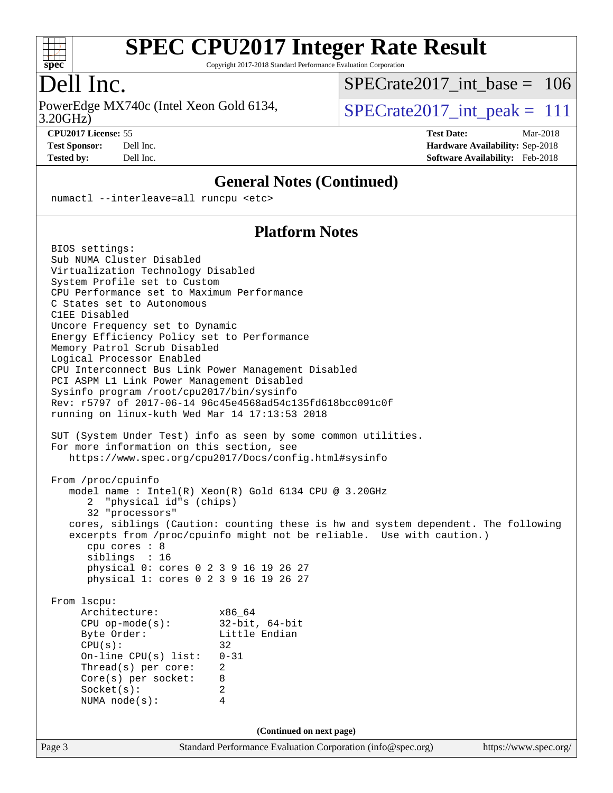

Copyright 2017-2018 Standard Performance Evaluation Corporation

### Dell Inc.

3.20GHz) PowerEdge MX740c (Intel Xeon Gold 6134,  $SPECrate2017\_int\_peak = 111$ 

[SPECrate2017\\_int\\_base =](http://www.spec.org/auto/cpu2017/Docs/result-fields.html#SPECrate2017intbase) 106

**[CPU2017 License:](http://www.spec.org/auto/cpu2017/Docs/result-fields.html#CPU2017License)** 55 **[Test Date:](http://www.spec.org/auto/cpu2017/Docs/result-fields.html#TestDate)** Mar-2018 **[Test Sponsor:](http://www.spec.org/auto/cpu2017/Docs/result-fields.html#TestSponsor)** Dell Inc. **[Hardware Availability:](http://www.spec.org/auto/cpu2017/Docs/result-fields.html#HardwareAvailability)** Sep-2018 **[Tested by:](http://www.spec.org/auto/cpu2017/Docs/result-fields.html#Testedby)** Dell Inc. **[Software Availability:](http://www.spec.org/auto/cpu2017/Docs/result-fields.html#SoftwareAvailability)** Feb-2018

#### **[General Notes \(Continued\)](http://www.spec.org/auto/cpu2017/Docs/result-fields.html#GeneralNotes)**

numactl --interleave=all runcpu <etc>

#### **[Platform Notes](http://www.spec.org/auto/cpu2017/Docs/result-fields.html#PlatformNotes)**

Page 3 Standard Performance Evaluation Corporation [\(info@spec.org\)](mailto:info@spec.org) <https://www.spec.org/> BIOS settings: Sub NUMA Cluster Disabled Virtualization Technology Disabled System Profile set to Custom CPU Performance set to Maximum Performance C States set to Autonomous C1EE Disabled Uncore Frequency set to Dynamic Energy Efficiency Policy set to Performance Memory Patrol Scrub Disabled Logical Processor Enabled CPU Interconnect Bus Link Power Management Disabled PCI ASPM L1 Link Power Management Disabled Sysinfo program /root/cpu2017/bin/sysinfo Rev: r5797 of 2017-06-14 96c45e4568ad54c135fd618bcc091c0f running on linux-kuth Wed Mar 14 17:13:53 2018 SUT (System Under Test) info as seen by some common utilities. For more information on this section, see <https://www.spec.org/cpu2017/Docs/config.html#sysinfo> From /proc/cpuinfo model name : Intel(R) Xeon(R) Gold 6134 CPU @ 3.20GHz 2 "physical id"s (chips) 32 "processors" cores, siblings (Caution: counting these is hw and system dependent. The following excerpts from /proc/cpuinfo might not be reliable. Use with caution.) cpu cores : 8 siblings : 16 physical 0: cores 0 2 3 9 16 19 26 27 physical 1: cores 0 2 3 9 16 19 26 27 From lscpu: Architecture: x86\_64 CPU op-mode(s): 32-bit, 64-bit Byte Order: Little Endian  $CPU(s):$  32 On-line CPU(s) list: 0-31 Thread(s) per core: 2 Core(s) per socket: 8 Socket(s): 2 NUMA node(s): 4 **(Continued on next page)**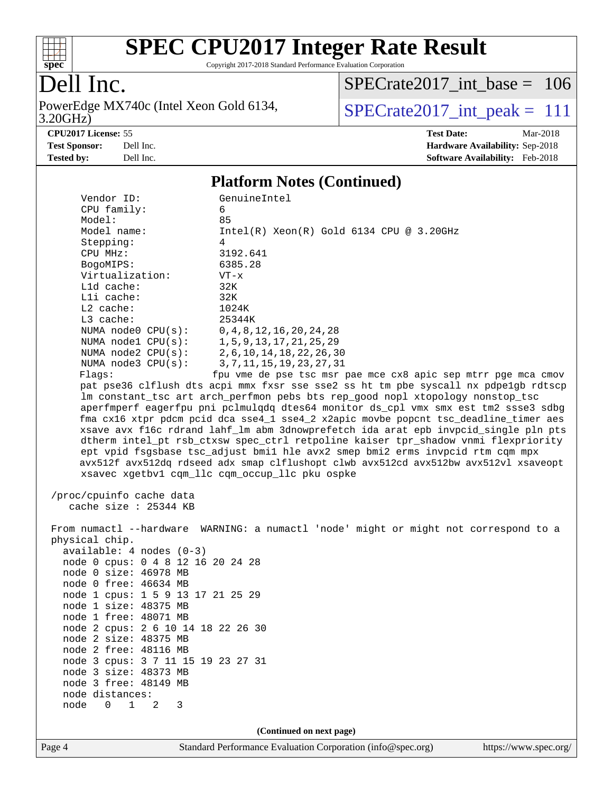

Copyright 2017-2018 Standard Performance Evaluation Corporation

## Dell Inc.

3.20GHz) PowerEdge MX740c (Intel Xeon Gold 6134,  $SPECrate2017\_int\_peak = 111$ 

[SPECrate2017\\_int\\_base =](http://www.spec.org/auto/cpu2017/Docs/result-fields.html#SPECrate2017intbase) 106

**[CPU2017 License:](http://www.spec.org/auto/cpu2017/Docs/result-fields.html#CPU2017License)** 55 **[Test Date:](http://www.spec.org/auto/cpu2017/Docs/result-fields.html#TestDate)** Mar-2018

**[Test Sponsor:](http://www.spec.org/auto/cpu2017/Docs/result-fields.html#TestSponsor)** Dell Inc. **[Hardware Availability:](http://www.spec.org/auto/cpu2017/Docs/result-fields.html#HardwareAvailability)** Sep-2018 **[Tested by:](http://www.spec.org/auto/cpu2017/Docs/result-fields.html#Testedby)** Dell Inc. **[Software Availability:](http://www.spec.org/auto/cpu2017/Docs/result-fields.html#SoftwareAvailability)** Feb-2018

#### **[Platform Notes \(Continued\)](http://www.spec.org/auto/cpu2017/Docs/result-fields.html#PlatformNotes)**

| Page 4                                                                                                                                                                                                                                                                                                                                                                                                                                                                                                                                                                                                                                                                                               | Standard Performance Evaluation Corporation (info@spec.org)                                                                                                                                                                                                                                                                                                                                                                                                                                                                                                                                                                                                                                                                                                                                                                                                                                                                                                                                                                                                                       | https://www.spec.org |
|------------------------------------------------------------------------------------------------------------------------------------------------------------------------------------------------------------------------------------------------------------------------------------------------------------------------------------------------------------------------------------------------------------------------------------------------------------------------------------------------------------------------------------------------------------------------------------------------------------------------------------------------------------------------------------------------------|-----------------------------------------------------------------------------------------------------------------------------------------------------------------------------------------------------------------------------------------------------------------------------------------------------------------------------------------------------------------------------------------------------------------------------------------------------------------------------------------------------------------------------------------------------------------------------------------------------------------------------------------------------------------------------------------------------------------------------------------------------------------------------------------------------------------------------------------------------------------------------------------------------------------------------------------------------------------------------------------------------------------------------------------------------------------------------------|----------------------|
|                                                                                                                                                                                                                                                                                                                                                                                                                                                                                                                                                                                                                                                                                                      | (Continued on next page)                                                                                                                                                                                                                                                                                                                                                                                                                                                                                                                                                                                                                                                                                                                                                                                                                                                                                                                                                                                                                                                          |                      |
| L1d cache:<br>Lli cache:<br>$L2$ cache:<br>L3 cache:<br>NUMA node0 CPU(s):<br>NUMA $node1$ $CPU(s):$<br>NUMA $node2$ $CPU(s):$<br>NUMA node3 CPU(s):<br>Flagg:<br>/proc/cpuinfo cache data<br>cache size $: 25344$ KB<br>physical chip.<br>$available: 4 nodes (0-3)$<br>node 0 cpus: 0 4 8 12 16 20 24 28<br>node 0 size: 46978 MB<br>node 0 free: 46634 MB<br>node 1 cpus: 1 5 9 13 17 21 25 29<br>node 1 size: 48375 MB<br>node 1 free: 48071 MB<br>node 2 cpus: 2 6 10 14 18 22 26 30<br>node 2 size: 48375 MB<br>node 2 free: 48116 MB<br>node 3 cpus: 3 7 11 15 19 23 27 31<br>node 3 size: 48373 MB<br>node 3 free: 48149 MB<br>node distances:<br>$\Omega$<br>$\mathbf{1}$<br>2<br>node<br>3 | 32K<br>32K<br>1024K<br>25344K<br>0, 4, 8, 12, 16, 20, 24, 28<br>1, 5, 9, 13, 17, 21, 25, 29<br>2, 6, 10, 14, 18, 22, 26, 30<br>3, 7, 11, 15, 19, 23, 27, 31<br>fpu vme de pse tsc msr pae mce cx8 apic sep mtrr pge mca cmov<br>pat pse36 clflush dts acpi mmx fxsr sse sse2 ss ht tm pbe syscall nx pdpelgb rdtscp<br>lm constant_tsc art arch_perfmon pebs bts rep_good nopl xtopology nonstop_tsc<br>aperfmperf eagerfpu pni pclmulqdq dtes64 monitor ds_cpl vmx smx est tm2 ssse3 sdbg<br>fma cx16 xtpr pdcm pcid dca sse4_1 sse4_2 x2apic movbe popcnt tsc_deadline_timer aes<br>xsave avx f16c rdrand lahf_lm abm 3dnowprefetch ida arat epb invpcid_single pln pts<br>dtherm intel_pt rsb_ctxsw spec_ctrl retpoline kaiser tpr_shadow vnmi flexpriority<br>ept vpid fsgsbase tsc_adjust bmil hle avx2 smep bmi2 erms invpcid rtm cqm mpx<br>avx512f avx512dq rdseed adx smap clflushopt clwb avx512cd avx512bw avx512vl xsaveopt<br>xsavec xgetbvl cqm_llc cqm_occup_llc pku ospke<br>From numactl --hardware WARNING: a numactl 'node' might or might not correspond to a |                      |
| Model:<br>Model name:<br>Stepping:<br>CPU MHz:<br>BogoMIPS:<br>Virtualization:                                                                                                                                                                                                                                                                                                                                                                                                                                                                                                                                                                                                                       | 85<br>$Intel(R) Xeon(R) Gold 6134 CPU @ 3.20GHz$<br>4<br>3192.641<br>6385.28<br>$VT - x$                                                                                                                                                                                                                                                                                                                                                                                                                                                                                                                                                                                                                                                                                                                                                                                                                                                                                                                                                                                          |                      |
| Vendor ID:<br>CPU family:                                                                                                                                                                                                                                                                                                                                                                                                                                                                                                                                                                                                                                                                            | GenuineIntel<br>6                                                                                                                                                                                                                                                                                                                                                                                                                                                                                                                                                                                                                                                                                                                                                                                                                                                                                                                                                                                                                                                                 |                      |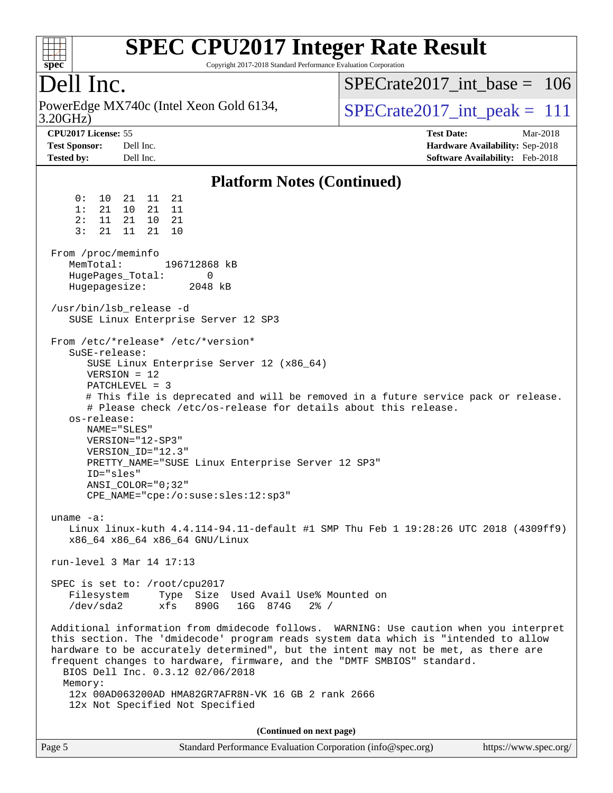

Copyright 2017-2018 Standard Performance Evaluation Corporation

## Dell Inc.

3.20GHz) PowerEdge MX740c (Intel Xeon Gold 6134,  $SPECrate2017\_int\_peak = 111$ 

[SPECrate2017\\_int\\_base =](http://www.spec.org/auto/cpu2017/Docs/result-fields.html#SPECrate2017intbase) 106

**[CPU2017 License:](http://www.spec.org/auto/cpu2017/Docs/result-fields.html#CPU2017License)** 55 **[Test Date:](http://www.spec.org/auto/cpu2017/Docs/result-fields.html#TestDate)** Mar-2018 **[Test Sponsor:](http://www.spec.org/auto/cpu2017/Docs/result-fields.html#TestSponsor)** Dell Inc. **[Hardware Availability:](http://www.spec.org/auto/cpu2017/Docs/result-fields.html#HardwareAvailability)** Sep-2018 **[Tested by:](http://www.spec.org/auto/cpu2017/Docs/result-fields.html#Testedby)** Dell Inc. **[Software Availability:](http://www.spec.org/auto/cpu2017/Docs/result-fields.html#SoftwareAvailability)** Feb-2018

#### **[Platform Notes \(Continued\)](http://www.spec.org/auto/cpu2017/Docs/result-fields.html#PlatformNotes)** 0: 10 21 11 21 1: 21 10 21 11 2: 11 21 10 21 3: 21 11 21 10 From /proc/meminfo MemTotal: 196712868 kB HugePages\_Total: 0 Hugepagesize: 2048 kB /usr/bin/lsb\_release -d SUSE Linux Enterprise Server 12 SP3 From /etc/\*release\* /etc/\*version\* SuSE-release: SUSE Linux Enterprise Server 12 (x86\_64) VERSION = 12 PATCHLEVEL = 3 # This file is deprecated and will be removed in a future service pack or release. # Please check /etc/os-release for details about this release. os-release: NAME="SLES" VERSION="12-SP3" VERSION\_ID="12.3" PRETTY\_NAME="SUSE Linux Enterprise Server 12 SP3" ID="sles" ANSI\_COLOR="0;32" CPE\_NAME="cpe:/o:suse:sles:12:sp3" uname -a: Linux linux-kuth 4.4.114-94.11-default #1 SMP Thu Feb 1 19:28:26 UTC 2018 (4309ff9) x86\_64 x86\_64 x86\_64 GNU/Linux run-level 3 Mar 14 17:13 SPEC is set to: /root/cpu2017 Filesystem Type Size Used Avail Use% Mounted on /dev/sda2 xfs 890G 16G 874G 2% / Additional information from dmidecode follows. WARNING: Use caution when you interpret this section. The 'dmidecode' program reads system data which is "intended to allow hardware to be accurately determined", but the intent may not be met, as there are frequent changes to hardware, firmware, and the "DMTF SMBIOS" standard. BIOS Dell Inc. 0.3.12 02/06/2018 Memory: 12x 00AD063200AD HMA82GR7AFR8N-VK 16 GB 2 rank 2666 12x Not Specified Not Specified **(Continued on next page)**

| Page 5 | Standard Performance Evaluation Corporation (info@spec.org) | https://www.spec.org/ |
|--------|-------------------------------------------------------------|-----------------------|
|        |                                                             |                       |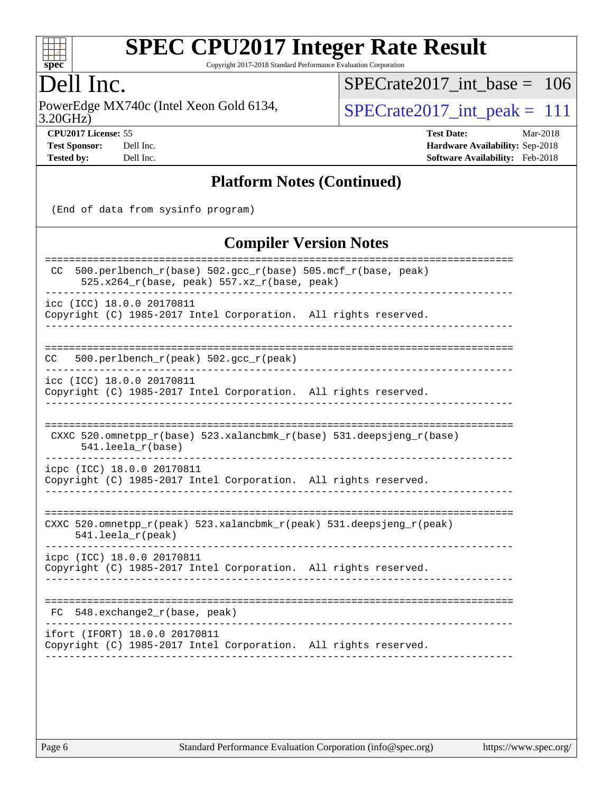

Copyright 2017-2018 Standard Performance Evaluation Corporation

## Dell Inc.

3.20GHz) PowerEdge MX740c (Intel Xeon Gold 6134,  $SPECrate2017\_int\_peak = 111$ 

[SPECrate2017\\_int\\_base =](http://www.spec.org/auto/cpu2017/Docs/result-fields.html#SPECrate2017intbase) 106

**[CPU2017 License:](http://www.spec.org/auto/cpu2017/Docs/result-fields.html#CPU2017License)** 55 **[Test Date:](http://www.spec.org/auto/cpu2017/Docs/result-fields.html#TestDate)** Mar-2018 **[Test Sponsor:](http://www.spec.org/auto/cpu2017/Docs/result-fields.html#TestSponsor)** Dell Inc. **[Hardware Availability:](http://www.spec.org/auto/cpu2017/Docs/result-fields.html#HardwareAvailability)** Sep-2018 **[Tested by:](http://www.spec.org/auto/cpu2017/Docs/result-fields.html#Testedby)** Dell Inc. **[Software Availability:](http://www.spec.org/auto/cpu2017/Docs/result-fields.html#SoftwareAvailability)** Feb-2018

#### **[Platform Notes \(Continued\)](http://www.spec.org/auto/cpu2017/Docs/result-fields.html#PlatformNotes)**

(End of data from sysinfo program)

#### **[Compiler Version Notes](http://www.spec.org/auto/cpu2017/Docs/result-fields.html#CompilerVersionNotes)**

| 500.perlbench_r(base) 502.gcc_r(base) 505.mcf_r(base, peak)<br>CC<br>$525.x264_r(base, peak) 557.xz_r(base, peak)$ |
|--------------------------------------------------------------------------------------------------------------------|
| icc (ICC) 18.0.0 20170811<br>Copyright (C) 1985-2017 Intel Corporation. All rights reserved.                       |
|                                                                                                                    |
| 500.perlbench $r(\text{peak})$ 502.gcc $r(\text{peak})$<br>CC.                                                     |
| icc (ICC) 18.0.0 20170811<br>Copyright (C) 1985-2017 Intel Corporation. All rights reserved.                       |
| CXXC 520.omnetpp_r(base) 523.xalancbmk_r(base) 531.deepsjeng_r(base)<br>$541.$ leela_r(base)                       |
| icpc (ICC) 18.0.0 20170811<br>Copyright (C) 1985-2017 Intel Corporation. All rights reserved.                      |
| CXXC 520.omnetpp_r(peak) 523.xalancbmk_r(peak) 531.deepsjeng_r(peak)<br>$541.$ leela_r(peak)                       |
| icpc (ICC) 18.0.0 20170811<br>Copyright (C) 1985-2017 Intel Corporation. All rights reserved.                      |
| $FC$ 548. exchange $2r(base, peak)$                                                                                |
| ifort (IFORT) 18.0.0 20170811<br>Copyright (C) 1985-2017 Intel Corporation. All rights reserved.                   |
|                                                                                                                    |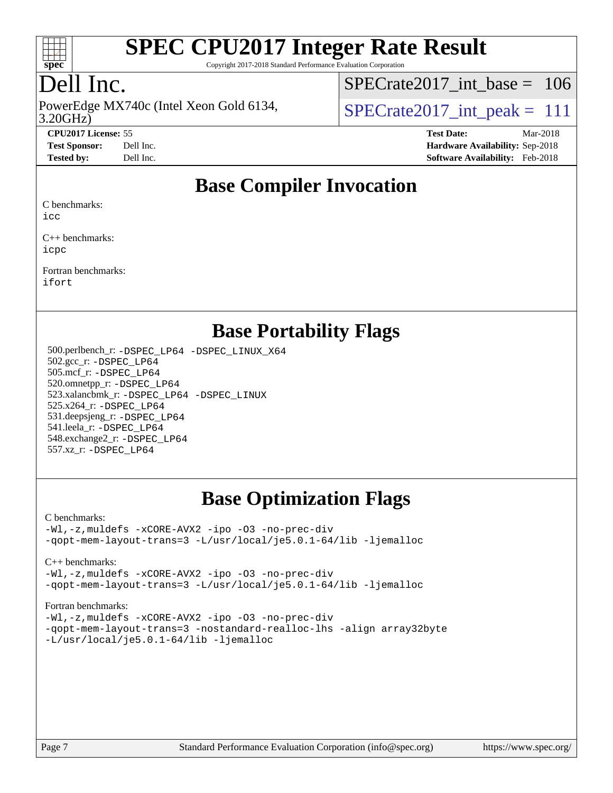

Copyright 2017-2018 Standard Performance Evaluation Corporation

## Dell Inc.

PowerEdge MX740c (Intel Xeon Gold 6134,<br>3.20GHz)

 $SPECTate 2017\_int\_peak = 111$ [SPECrate2017\\_int\\_base =](http://www.spec.org/auto/cpu2017/Docs/result-fields.html#SPECrate2017intbase) 106

**[CPU2017 License:](http://www.spec.org/auto/cpu2017/Docs/result-fields.html#CPU2017License)** 55 **[Test Date:](http://www.spec.org/auto/cpu2017/Docs/result-fields.html#TestDate)** Mar-2018 **[Test Sponsor:](http://www.spec.org/auto/cpu2017/Docs/result-fields.html#TestSponsor)** Dell Inc. **[Hardware Availability:](http://www.spec.org/auto/cpu2017/Docs/result-fields.html#HardwareAvailability)** Sep-2018 **[Tested by:](http://www.spec.org/auto/cpu2017/Docs/result-fields.html#Testedby)** Dell Inc. **[Software Availability:](http://www.spec.org/auto/cpu2017/Docs/result-fields.html#SoftwareAvailability)** Feb-2018

### **[Base Compiler Invocation](http://www.spec.org/auto/cpu2017/Docs/result-fields.html#BaseCompilerInvocation)**

[C benchmarks:](http://www.spec.org/auto/cpu2017/Docs/result-fields.html#Cbenchmarks)

[icc](http://www.spec.org/cpu2017/results/res2018q4/cpu2017-20181001-09007.flags.html#user_CCbase_intel_icc_18.0_66fc1ee009f7361af1fbd72ca7dcefbb700085f36577c54f309893dd4ec40d12360134090235512931783d35fd58c0460139e722d5067c5574d8eaf2b3e37e92)

[C++ benchmarks](http://www.spec.org/auto/cpu2017/Docs/result-fields.html#CXXbenchmarks): [icpc](http://www.spec.org/cpu2017/results/res2018q4/cpu2017-20181001-09007.flags.html#user_CXXbase_intel_icpc_18.0_c510b6838c7f56d33e37e94d029a35b4a7bccf4766a728ee175e80a419847e808290a9b78be685c44ab727ea267ec2f070ec5dc83b407c0218cded6866a35d07)

[Fortran benchmarks:](http://www.spec.org/auto/cpu2017/Docs/result-fields.html#Fortranbenchmarks) [ifort](http://www.spec.org/cpu2017/results/res2018q4/cpu2017-20181001-09007.flags.html#user_FCbase_intel_ifort_18.0_8111460550e3ca792625aed983ce982f94888b8b503583aa7ba2b8303487b4d8a21a13e7191a45c5fd58ff318f48f9492884d4413fa793fd88dd292cad7027ca)

#### **[Base Portability Flags](http://www.spec.org/auto/cpu2017/Docs/result-fields.html#BasePortabilityFlags)**

 500.perlbench\_r: [-DSPEC\\_LP64](http://www.spec.org/cpu2017/results/res2018q4/cpu2017-20181001-09007.flags.html#b500.perlbench_r_basePORTABILITY_DSPEC_LP64) [-DSPEC\\_LINUX\\_X64](http://www.spec.org/cpu2017/results/res2018q4/cpu2017-20181001-09007.flags.html#b500.perlbench_r_baseCPORTABILITY_DSPEC_LINUX_X64) 502.gcc\_r: [-DSPEC\\_LP64](http://www.spec.org/cpu2017/results/res2018q4/cpu2017-20181001-09007.flags.html#suite_basePORTABILITY502_gcc_r_DSPEC_LP64) 505.mcf\_r: [-DSPEC\\_LP64](http://www.spec.org/cpu2017/results/res2018q4/cpu2017-20181001-09007.flags.html#suite_basePORTABILITY505_mcf_r_DSPEC_LP64) 520.omnetpp\_r: [-DSPEC\\_LP64](http://www.spec.org/cpu2017/results/res2018q4/cpu2017-20181001-09007.flags.html#suite_basePORTABILITY520_omnetpp_r_DSPEC_LP64) 523.xalancbmk\_r: [-DSPEC\\_LP64](http://www.spec.org/cpu2017/results/res2018q4/cpu2017-20181001-09007.flags.html#suite_basePORTABILITY523_xalancbmk_r_DSPEC_LP64) [-DSPEC\\_LINUX](http://www.spec.org/cpu2017/results/res2018q4/cpu2017-20181001-09007.flags.html#b523.xalancbmk_r_baseCXXPORTABILITY_DSPEC_LINUX) 525.x264\_r: [-DSPEC\\_LP64](http://www.spec.org/cpu2017/results/res2018q4/cpu2017-20181001-09007.flags.html#suite_basePORTABILITY525_x264_r_DSPEC_LP64) 531.deepsjeng\_r: [-DSPEC\\_LP64](http://www.spec.org/cpu2017/results/res2018q4/cpu2017-20181001-09007.flags.html#suite_basePORTABILITY531_deepsjeng_r_DSPEC_LP64) 541.leela\_r: [-DSPEC\\_LP64](http://www.spec.org/cpu2017/results/res2018q4/cpu2017-20181001-09007.flags.html#suite_basePORTABILITY541_leela_r_DSPEC_LP64) 548.exchange2\_r: [-DSPEC\\_LP64](http://www.spec.org/cpu2017/results/res2018q4/cpu2017-20181001-09007.flags.html#suite_basePORTABILITY548_exchange2_r_DSPEC_LP64) 557.xz\_r: [-DSPEC\\_LP64](http://www.spec.org/cpu2017/results/res2018q4/cpu2017-20181001-09007.flags.html#suite_basePORTABILITY557_xz_r_DSPEC_LP64)

## **[Base Optimization Flags](http://www.spec.org/auto/cpu2017/Docs/result-fields.html#BaseOptimizationFlags)**

#### [C benchmarks](http://www.spec.org/auto/cpu2017/Docs/result-fields.html#Cbenchmarks):

[-Wl,-z,muldefs](http://www.spec.org/cpu2017/results/res2018q4/cpu2017-20181001-09007.flags.html#user_CCbase_link_force_multiple1_b4cbdb97b34bdee9ceefcfe54f4c8ea74255f0b02a4b23e853cdb0e18eb4525ac79b5a88067c842dd0ee6996c24547a27a4b99331201badda8798ef8a743f577) [-xCORE-AVX2](http://www.spec.org/cpu2017/results/res2018q4/cpu2017-20181001-09007.flags.html#user_CCbase_f-xCORE-AVX2) [-ipo](http://www.spec.org/cpu2017/results/res2018q4/cpu2017-20181001-09007.flags.html#user_CCbase_f-ipo) [-O3](http://www.spec.org/cpu2017/results/res2018q4/cpu2017-20181001-09007.flags.html#user_CCbase_f-O3) [-no-prec-div](http://www.spec.org/cpu2017/results/res2018q4/cpu2017-20181001-09007.flags.html#user_CCbase_f-no-prec-div) [-qopt-mem-layout-trans=3](http://www.spec.org/cpu2017/results/res2018q4/cpu2017-20181001-09007.flags.html#user_CCbase_f-qopt-mem-layout-trans_de80db37974c74b1f0e20d883f0b675c88c3b01e9d123adea9b28688d64333345fb62bc4a798493513fdb68f60282f9a726aa07f478b2f7113531aecce732043) [-L/usr/local/je5.0.1-64/lib](http://www.spec.org/cpu2017/results/res2018q4/cpu2017-20181001-09007.flags.html#user_CCbase_jemalloc_link_path64_4b10a636b7bce113509b17f3bd0d6226c5fb2346b9178c2d0232c14f04ab830f976640479e5c33dc2bcbbdad86ecfb6634cbbd4418746f06f368b512fced5394) [-ljemalloc](http://www.spec.org/cpu2017/results/res2018q4/cpu2017-20181001-09007.flags.html#user_CCbase_jemalloc_link_lib_d1249b907c500fa1c0672f44f562e3d0f79738ae9e3c4a9c376d49f265a04b9c99b167ecedbf6711b3085be911c67ff61f150a17b3472be731631ba4d0471706)

[C++ benchmarks:](http://www.spec.org/auto/cpu2017/Docs/result-fields.html#CXXbenchmarks)

[-Wl,-z,muldefs](http://www.spec.org/cpu2017/results/res2018q4/cpu2017-20181001-09007.flags.html#user_CXXbase_link_force_multiple1_b4cbdb97b34bdee9ceefcfe54f4c8ea74255f0b02a4b23e853cdb0e18eb4525ac79b5a88067c842dd0ee6996c24547a27a4b99331201badda8798ef8a743f577) [-xCORE-AVX2](http://www.spec.org/cpu2017/results/res2018q4/cpu2017-20181001-09007.flags.html#user_CXXbase_f-xCORE-AVX2) [-ipo](http://www.spec.org/cpu2017/results/res2018q4/cpu2017-20181001-09007.flags.html#user_CXXbase_f-ipo) [-O3](http://www.spec.org/cpu2017/results/res2018q4/cpu2017-20181001-09007.flags.html#user_CXXbase_f-O3) [-no-prec-div](http://www.spec.org/cpu2017/results/res2018q4/cpu2017-20181001-09007.flags.html#user_CXXbase_f-no-prec-div) [-qopt-mem-layout-trans=3](http://www.spec.org/cpu2017/results/res2018q4/cpu2017-20181001-09007.flags.html#user_CXXbase_f-qopt-mem-layout-trans_de80db37974c74b1f0e20d883f0b675c88c3b01e9d123adea9b28688d64333345fb62bc4a798493513fdb68f60282f9a726aa07f478b2f7113531aecce732043) [-L/usr/local/je5.0.1-64/lib](http://www.spec.org/cpu2017/results/res2018q4/cpu2017-20181001-09007.flags.html#user_CXXbase_jemalloc_link_path64_4b10a636b7bce113509b17f3bd0d6226c5fb2346b9178c2d0232c14f04ab830f976640479e5c33dc2bcbbdad86ecfb6634cbbd4418746f06f368b512fced5394) [-ljemalloc](http://www.spec.org/cpu2017/results/res2018q4/cpu2017-20181001-09007.flags.html#user_CXXbase_jemalloc_link_lib_d1249b907c500fa1c0672f44f562e3d0f79738ae9e3c4a9c376d49f265a04b9c99b167ecedbf6711b3085be911c67ff61f150a17b3472be731631ba4d0471706)

#### [Fortran benchmarks](http://www.spec.org/auto/cpu2017/Docs/result-fields.html#Fortranbenchmarks):

[-Wl,-z,muldefs](http://www.spec.org/cpu2017/results/res2018q4/cpu2017-20181001-09007.flags.html#user_FCbase_link_force_multiple1_b4cbdb97b34bdee9ceefcfe54f4c8ea74255f0b02a4b23e853cdb0e18eb4525ac79b5a88067c842dd0ee6996c24547a27a4b99331201badda8798ef8a743f577) [-xCORE-AVX2](http://www.spec.org/cpu2017/results/res2018q4/cpu2017-20181001-09007.flags.html#user_FCbase_f-xCORE-AVX2) [-ipo](http://www.spec.org/cpu2017/results/res2018q4/cpu2017-20181001-09007.flags.html#user_FCbase_f-ipo) [-O3](http://www.spec.org/cpu2017/results/res2018q4/cpu2017-20181001-09007.flags.html#user_FCbase_f-O3) [-no-prec-div](http://www.spec.org/cpu2017/results/res2018q4/cpu2017-20181001-09007.flags.html#user_FCbase_f-no-prec-div) [-qopt-mem-layout-trans=3](http://www.spec.org/cpu2017/results/res2018q4/cpu2017-20181001-09007.flags.html#user_FCbase_f-qopt-mem-layout-trans_de80db37974c74b1f0e20d883f0b675c88c3b01e9d123adea9b28688d64333345fb62bc4a798493513fdb68f60282f9a726aa07f478b2f7113531aecce732043) [-nostandard-realloc-lhs](http://www.spec.org/cpu2017/results/res2018q4/cpu2017-20181001-09007.flags.html#user_FCbase_f_2003_std_realloc_82b4557e90729c0f113870c07e44d33d6f5a304b4f63d4c15d2d0f1fab99f5daaed73bdb9275d9ae411527f28b936061aa8b9c8f2d63842963b95c9dd6426b8a) [-align array32byte](http://www.spec.org/cpu2017/results/res2018q4/cpu2017-20181001-09007.flags.html#user_FCbase_align_array32byte_b982fe038af199962ba9a80c053b8342c548c85b40b8e86eb3cc33dee0d7986a4af373ac2d51c3f7cf710a18d62fdce2948f201cd044323541f22fc0fffc51b6) [-L/usr/local/je5.0.1-64/lib](http://www.spec.org/cpu2017/results/res2018q4/cpu2017-20181001-09007.flags.html#user_FCbase_jemalloc_link_path64_4b10a636b7bce113509b17f3bd0d6226c5fb2346b9178c2d0232c14f04ab830f976640479e5c33dc2bcbbdad86ecfb6634cbbd4418746f06f368b512fced5394) [-ljemalloc](http://www.spec.org/cpu2017/results/res2018q4/cpu2017-20181001-09007.flags.html#user_FCbase_jemalloc_link_lib_d1249b907c500fa1c0672f44f562e3d0f79738ae9e3c4a9c376d49f265a04b9c99b167ecedbf6711b3085be911c67ff61f150a17b3472be731631ba4d0471706)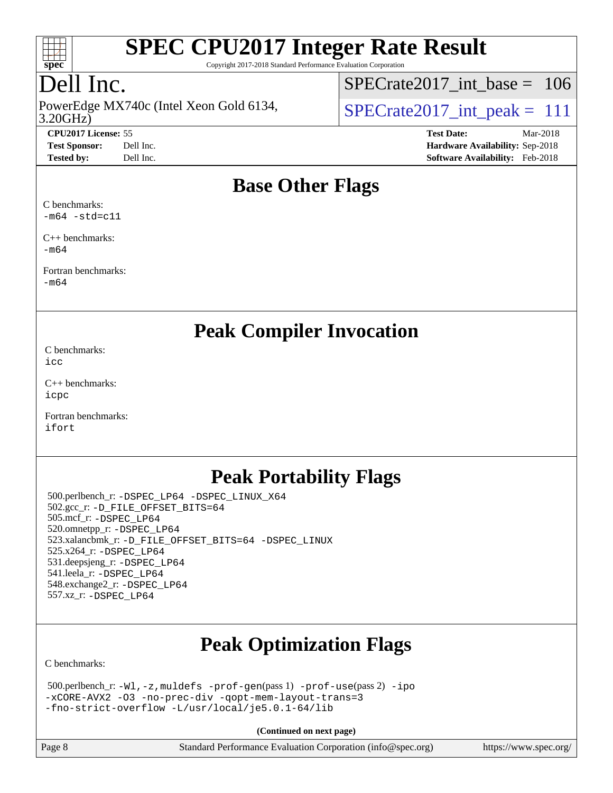

Copyright 2017-2018 Standard Performance Evaluation Corporation

## Dell Inc.

3.20GHz) PowerEdge MX740c (Intel Xeon Gold 6134,  $\vert$ [SPECrate2017\\_int\\_peak =](http://www.spec.org/auto/cpu2017/Docs/result-fields.html#SPECrate2017intpeak) 111

[SPECrate2017\\_int\\_base =](http://www.spec.org/auto/cpu2017/Docs/result-fields.html#SPECrate2017intbase) 106

**[CPU2017 License:](http://www.spec.org/auto/cpu2017/Docs/result-fields.html#CPU2017License)** 55 **[Test Date:](http://www.spec.org/auto/cpu2017/Docs/result-fields.html#TestDate)** Mar-2018 **[Test Sponsor:](http://www.spec.org/auto/cpu2017/Docs/result-fields.html#TestSponsor)** Dell Inc. **[Hardware Availability:](http://www.spec.org/auto/cpu2017/Docs/result-fields.html#HardwareAvailability)** Sep-2018 **[Tested by:](http://www.spec.org/auto/cpu2017/Docs/result-fields.html#Testedby)** Dell Inc. **[Software Availability:](http://www.spec.org/auto/cpu2017/Docs/result-fields.html#SoftwareAvailability)** Feb-2018

### **[Base Other Flags](http://www.spec.org/auto/cpu2017/Docs/result-fields.html#BaseOtherFlags)**

[C benchmarks:](http://www.spec.org/auto/cpu2017/Docs/result-fields.html#Cbenchmarks)  $-m64$   $-std=cl1$ 

[C++ benchmarks:](http://www.spec.org/auto/cpu2017/Docs/result-fields.html#CXXbenchmarks) [-m64](http://www.spec.org/cpu2017/results/res2018q4/cpu2017-20181001-09007.flags.html#user_CXXbase_intel_intel64_18.0_af43caccfc8ded86e7699f2159af6efc7655f51387b94da716254467f3c01020a5059329e2569e4053f409e7c9202a7efc638f7a6d1ffb3f52dea4a3e31d82ab)

[Fortran benchmarks](http://www.spec.org/auto/cpu2017/Docs/result-fields.html#Fortranbenchmarks): [-m64](http://www.spec.org/cpu2017/results/res2018q4/cpu2017-20181001-09007.flags.html#user_FCbase_intel_intel64_18.0_af43caccfc8ded86e7699f2159af6efc7655f51387b94da716254467f3c01020a5059329e2569e4053f409e7c9202a7efc638f7a6d1ffb3f52dea4a3e31d82ab)

**[Peak Compiler Invocation](http://www.spec.org/auto/cpu2017/Docs/result-fields.html#PeakCompilerInvocation)**

[C benchmarks](http://www.spec.org/auto/cpu2017/Docs/result-fields.html#Cbenchmarks): [icc](http://www.spec.org/cpu2017/results/res2018q4/cpu2017-20181001-09007.flags.html#user_CCpeak_intel_icc_18.0_66fc1ee009f7361af1fbd72ca7dcefbb700085f36577c54f309893dd4ec40d12360134090235512931783d35fd58c0460139e722d5067c5574d8eaf2b3e37e92)

[C++ benchmarks:](http://www.spec.org/auto/cpu2017/Docs/result-fields.html#CXXbenchmarks) [icpc](http://www.spec.org/cpu2017/results/res2018q4/cpu2017-20181001-09007.flags.html#user_CXXpeak_intel_icpc_18.0_c510b6838c7f56d33e37e94d029a35b4a7bccf4766a728ee175e80a419847e808290a9b78be685c44ab727ea267ec2f070ec5dc83b407c0218cded6866a35d07)

[Fortran benchmarks](http://www.spec.org/auto/cpu2017/Docs/result-fields.html#Fortranbenchmarks): [ifort](http://www.spec.org/cpu2017/results/res2018q4/cpu2017-20181001-09007.flags.html#user_FCpeak_intel_ifort_18.0_8111460550e3ca792625aed983ce982f94888b8b503583aa7ba2b8303487b4d8a21a13e7191a45c5fd58ff318f48f9492884d4413fa793fd88dd292cad7027ca)

## **[Peak Portability Flags](http://www.spec.org/auto/cpu2017/Docs/result-fields.html#PeakPortabilityFlags)**

 500.perlbench\_r: [-DSPEC\\_LP64](http://www.spec.org/cpu2017/results/res2018q4/cpu2017-20181001-09007.flags.html#b500.perlbench_r_peakPORTABILITY_DSPEC_LP64) [-DSPEC\\_LINUX\\_X64](http://www.spec.org/cpu2017/results/res2018q4/cpu2017-20181001-09007.flags.html#b500.perlbench_r_peakCPORTABILITY_DSPEC_LINUX_X64) 502.gcc\_r: [-D\\_FILE\\_OFFSET\\_BITS=64](http://www.spec.org/cpu2017/results/res2018q4/cpu2017-20181001-09007.flags.html#user_peakPORTABILITY502_gcc_r_file_offset_bits_64_5ae949a99b284ddf4e95728d47cb0843d81b2eb0e18bdfe74bbf0f61d0b064f4bda2f10ea5eb90e1dcab0e84dbc592acfc5018bc955c18609f94ddb8d550002c) 505.mcf\_r: [-DSPEC\\_LP64](http://www.spec.org/cpu2017/results/res2018q4/cpu2017-20181001-09007.flags.html#suite_peakPORTABILITY505_mcf_r_DSPEC_LP64) 520.omnetpp\_r: [-DSPEC\\_LP64](http://www.spec.org/cpu2017/results/res2018q4/cpu2017-20181001-09007.flags.html#suite_peakPORTABILITY520_omnetpp_r_DSPEC_LP64) 523.xalancbmk\_r: [-D\\_FILE\\_OFFSET\\_BITS=64](http://www.spec.org/cpu2017/results/res2018q4/cpu2017-20181001-09007.flags.html#user_peakPORTABILITY523_xalancbmk_r_file_offset_bits_64_5ae949a99b284ddf4e95728d47cb0843d81b2eb0e18bdfe74bbf0f61d0b064f4bda2f10ea5eb90e1dcab0e84dbc592acfc5018bc955c18609f94ddb8d550002c) [-DSPEC\\_LINUX](http://www.spec.org/cpu2017/results/res2018q4/cpu2017-20181001-09007.flags.html#b523.xalancbmk_r_peakCXXPORTABILITY_DSPEC_LINUX) 525.x264\_r: [-DSPEC\\_LP64](http://www.spec.org/cpu2017/results/res2018q4/cpu2017-20181001-09007.flags.html#suite_peakPORTABILITY525_x264_r_DSPEC_LP64) 531.deepsjeng\_r: [-DSPEC\\_LP64](http://www.spec.org/cpu2017/results/res2018q4/cpu2017-20181001-09007.flags.html#suite_peakPORTABILITY531_deepsjeng_r_DSPEC_LP64) 541.leela\_r: [-DSPEC\\_LP64](http://www.spec.org/cpu2017/results/res2018q4/cpu2017-20181001-09007.flags.html#suite_peakPORTABILITY541_leela_r_DSPEC_LP64) 548.exchange2\_r: [-DSPEC\\_LP64](http://www.spec.org/cpu2017/results/res2018q4/cpu2017-20181001-09007.flags.html#suite_peakPORTABILITY548_exchange2_r_DSPEC_LP64) 557.xz\_r: [-DSPEC\\_LP64](http://www.spec.org/cpu2017/results/res2018q4/cpu2017-20181001-09007.flags.html#suite_peakPORTABILITY557_xz_r_DSPEC_LP64)

## **[Peak Optimization Flags](http://www.spec.org/auto/cpu2017/Docs/result-fields.html#PeakOptimizationFlags)**

[C benchmarks](http://www.spec.org/auto/cpu2017/Docs/result-fields.html#Cbenchmarks):

| $500.$ perlbench_r: -Wl, -z, muldefs -prof-gen(pass 1) -prof-use(pass 2) -ipo |  |
|-------------------------------------------------------------------------------|--|
| -xCORE-AVX2 -03 -no-prec-div -gopt-mem-layout-trans=3                         |  |
| -fno-strict-overflow -L/usr/local/je5.0.1-64/lib                              |  |

**(Continued on next page)**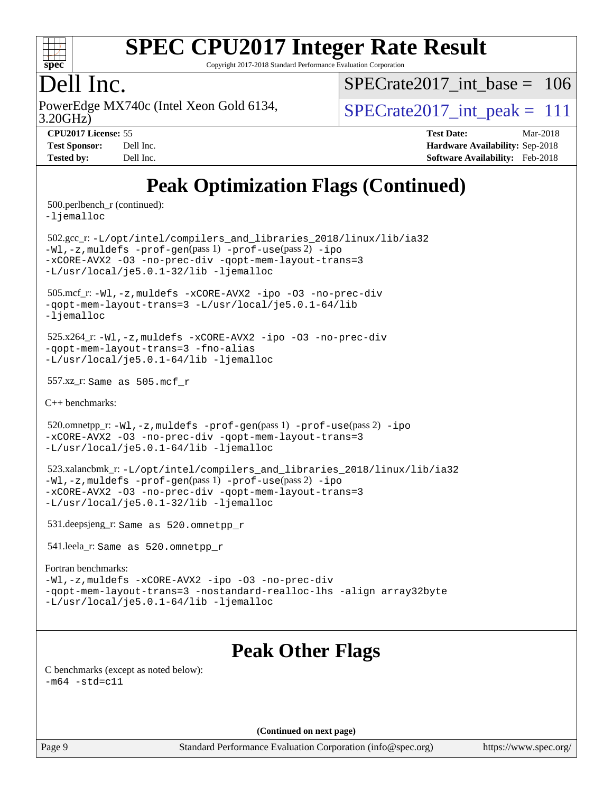

Copyright 2017-2018 Standard Performance Evaluation Corporation

## Dell Inc.

PowerEdge MX740c (Intel Xeon Gold 6134,  $\vert$ [SPECrate2017\\_int\\_peak =](http://www.spec.org/auto/cpu2017/Docs/result-fields.html#SPECrate2017intpeak) 111

 $SPECrate2017\_int\_base = 106$ 

3.20GHz)

**[Tested by:](http://www.spec.org/auto/cpu2017/Docs/result-fields.html#Testedby)** Dell Inc. **[Software Availability:](http://www.spec.org/auto/cpu2017/Docs/result-fields.html#SoftwareAvailability)** Feb-2018

**[CPU2017 License:](http://www.spec.org/auto/cpu2017/Docs/result-fields.html#CPU2017License)** 55 **[Test Date:](http://www.spec.org/auto/cpu2017/Docs/result-fields.html#TestDate)** Mar-2018 **[Test Sponsor:](http://www.spec.org/auto/cpu2017/Docs/result-fields.html#TestSponsor)** Dell Inc. **[Hardware Availability:](http://www.spec.org/auto/cpu2017/Docs/result-fields.html#HardwareAvailability)** Sep-2018

## **[Peak Optimization Flags \(Continued\)](http://www.spec.org/auto/cpu2017/Docs/result-fields.html#PeakOptimizationFlags)**

500.perlbench\_r (continued):

[-ljemalloc](http://www.spec.org/cpu2017/results/res2018q4/cpu2017-20181001-09007.flags.html#user_peakEXTRA_LIBS500_perlbench_r_jemalloc_link_lib_d1249b907c500fa1c0672f44f562e3d0f79738ae9e3c4a9c376d49f265a04b9c99b167ecedbf6711b3085be911c67ff61f150a17b3472be731631ba4d0471706)

 502.gcc\_r: [-L/opt/intel/compilers\\_and\\_libraries\\_2018/linux/lib/ia32](http://www.spec.org/cpu2017/results/res2018q4/cpu2017-20181001-09007.flags.html#user_peakCCLD502_gcc_r_Enable-32bit-runtime_af243bdb1d79e4c7a4f720bf8275e627de2ecd461de63307bc14cef0633fde3cd7bb2facb32dcc8be9566045fb55d40ce2b72b725f73827aa7833441b71b9343) [-Wl,-z,muldefs](http://www.spec.org/cpu2017/results/res2018q4/cpu2017-20181001-09007.flags.html#user_peakEXTRA_LDFLAGS502_gcc_r_link_force_multiple1_b4cbdb97b34bdee9ceefcfe54f4c8ea74255f0b02a4b23e853cdb0e18eb4525ac79b5a88067c842dd0ee6996c24547a27a4b99331201badda8798ef8a743f577) [-prof-gen](http://www.spec.org/cpu2017/results/res2018q4/cpu2017-20181001-09007.flags.html#user_peakPASS1_CFLAGSPASS1_LDFLAGS502_gcc_r_prof_gen_5aa4926d6013ddb2a31985c654b3eb18169fc0c6952a63635c234f711e6e63dd76e94ad52365559451ec499a2cdb89e4dc58ba4c67ef54ca681ffbe1461d6b36)(pass 1) [-prof-use](http://www.spec.org/cpu2017/results/res2018q4/cpu2017-20181001-09007.flags.html#user_peakPASS2_CFLAGSPASS2_LDFLAGS502_gcc_r_prof_use_1a21ceae95f36a2b53c25747139a6c16ca95bd9def2a207b4f0849963b97e94f5260e30a0c64f4bb623698870e679ca08317ef8150905d41bd88c6f78df73f19)(pass 2) [-ipo](http://www.spec.org/cpu2017/results/res2018q4/cpu2017-20181001-09007.flags.html#user_peakPASS1_COPTIMIZEPASS2_COPTIMIZE502_gcc_r_f-ipo) [-xCORE-AVX2](http://www.spec.org/cpu2017/results/res2018q4/cpu2017-20181001-09007.flags.html#user_peakPASS2_COPTIMIZE502_gcc_r_f-xCORE-AVX2) [-O3](http://www.spec.org/cpu2017/results/res2018q4/cpu2017-20181001-09007.flags.html#user_peakPASS1_COPTIMIZEPASS2_COPTIMIZE502_gcc_r_f-O3) [-no-prec-div](http://www.spec.org/cpu2017/results/res2018q4/cpu2017-20181001-09007.flags.html#user_peakPASS1_COPTIMIZEPASS2_COPTIMIZE502_gcc_r_f-no-prec-div) [-qopt-mem-layout-trans=3](http://www.spec.org/cpu2017/results/res2018q4/cpu2017-20181001-09007.flags.html#user_peakPASS1_COPTIMIZEPASS2_COPTIMIZE502_gcc_r_f-qopt-mem-layout-trans_de80db37974c74b1f0e20d883f0b675c88c3b01e9d123adea9b28688d64333345fb62bc4a798493513fdb68f60282f9a726aa07f478b2f7113531aecce732043) [-L/usr/local/je5.0.1-32/lib](http://www.spec.org/cpu2017/results/res2018q4/cpu2017-20181001-09007.flags.html#user_peakEXTRA_LIBS502_gcc_r_jemalloc_link_path32_e29f22e8e6c17053bbc6a0971f5a9c01a601a06bb1a59df2084b77a2fe0a2995b64fd4256feaeea39eeba3aae142e96e2b2b0a28974019c0c0c88139a84f900a) [-ljemalloc](http://www.spec.org/cpu2017/results/res2018q4/cpu2017-20181001-09007.flags.html#user_peakEXTRA_LIBS502_gcc_r_jemalloc_link_lib_d1249b907c500fa1c0672f44f562e3d0f79738ae9e3c4a9c376d49f265a04b9c99b167ecedbf6711b3085be911c67ff61f150a17b3472be731631ba4d0471706)

 505.mcf\_r: [-Wl,-z,muldefs](http://www.spec.org/cpu2017/results/res2018q4/cpu2017-20181001-09007.flags.html#user_peakEXTRA_LDFLAGS505_mcf_r_link_force_multiple1_b4cbdb97b34bdee9ceefcfe54f4c8ea74255f0b02a4b23e853cdb0e18eb4525ac79b5a88067c842dd0ee6996c24547a27a4b99331201badda8798ef8a743f577) [-xCORE-AVX2](http://www.spec.org/cpu2017/results/res2018q4/cpu2017-20181001-09007.flags.html#user_peakCOPTIMIZE505_mcf_r_f-xCORE-AVX2) [-ipo](http://www.spec.org/cpu2017/results/res2018q4/cpu2017-20181001-09007.flags.html#user_peakCOPTIMIZE505_mcf_r_f-ipo) [-O3](http://www.spec.org/cpu2017/results/res2018q4/cpu2017-20181001-09007.flags.html#user_peakCOPTIMIZE505_mcf_r_f-O3) [-no-prec-div](http://www.spec.org/cpu2017/results/res2018q4/cpu2017-20181001-09007.flags.html#user_peakCOPTIMIZE505_mcf_r_f-no-prec-div) [-qopt-mem-layout-trans=3](http://www.spec.org/cpu2017/results/res2018q4/cpu2017-20181001-09007.flags.html#user_peakCOPTIMIZE505_mcf_r_f-qopt-mem-layout-trans_de80db37974c74b1f0e20d883f0b675c88c3b01e9d123adea9b28688d64333345fb62bc4a798493513fdb68f60282f9a726aa07f478b2f7113531aecce732043) [-L/usr/local/je5.0.1-64/lib](http://www.spec.org/cpu2017/results/res2018q4/cpu2017-20181001-09007.flags.html#user_peakEXTRA_LIBS505_mcf_r_jemalloc_link_path64_4b10a636b7bce113509b17f3bd0d6226c5fb2346b9178c2d0232c14f04ab830f976640479e5c33dc2bcbbdad86ecfb6634cbbd4418746f06f368b512fced5394) [-ljemalloc](http://www.spec.org/cpu2017/results/res2018q4/cpu2017-20181001-09007.flags.html#user_peakEXTRA_LIBS505_mcf_r_jemalloc_link_lib_d1249b907c500fa1c0672f44f562e3d0f79738ae9e3c4a9c376d49f265a04b9c99b167ecedbf6711b3085be911c67ff61f150a17b3472be731631ba4d0471706)

 525.x264\_r: [-Wl,-z,muldefs](http://www.spec.org/cpu2017/results/res2018q4/cpu2017-20181001-09007.flags.html#user_peakEXTRA_LDFLAGS525_x264_r_link_force_multiple1_b4cbdb97b34bdee9ceefcfe54f4c8ea74255f0b02a4b23e853cdb0e18eb4525ac79b5a88067c842dd0ee6996c24547a27a4b99331201badda8798ef8a743f577) [-xCORE-AVX2](http://www.spec.org/cpu2017/results/res2018q4/cpu2017-20181001-09007.flags.html#user_peakCOPTIMIZE525_x264_r_f-xCORE-AVX2) [-ipo](http://www.spec.org/cpu2017/results/res2018q4/cpu2017-20181001-09007.flags.html#user_peakCOPTIMIZE525_x264_r_f-ipo) [-O3](http://www.spec.org/cpu2017/results/res2018q4/cpu2017-20181001-09007.flags.html#user_peakCOPTIMIZE525_x264_r_f-O3) [-no-prec-div](http://www.spec.org/cpu2017/results/res2018q4/cpu2017-20181001-09007.flags.html#user_peakCOPTIMIZE525_x264_r_f-no-prec-div) [-qopt-mem-layout-trans=3](http://www.spec.org/cpu2017/results/res2018q4/cpu2017-20181001-09007.flags.html#user_peakCOPTIMIZE525_x264_r_f-qopt-mem-layout-trans_de80db37974c74b1f0e20d883f0b675c88c3b01e9d123adea9b28688d64333345fb62bc4a798493513fdb68f60282f9a726aa07f478b2f7113531aecce732043) [-fno-alias](http://www.spec.org/cpu2017/results/res2018q4/cpu2017-20181001-09007.flags.html#user_peakEXTRA_OPTIMIZE525_x264_r_f-no-alias_77dbac10d91cbfe898fbf4a29d1b29b694089caa623bdd1baccc9957d4edbe8d106c0b357e2748a65b44fc9e83d78098bb898077f3fe92f9faf24f7bd4a07ed7) [-L/usr/local/je5.0.1-64/lib](http://www.spec.org/cpu2017/results/res2018q4/cpu2017-20181001-09007.flags.html#user_peakEXTRA_LIBS525_x264_r_jemalloc_link_path64_4b10a636b7bce113509b17f3bd0d6226c5fb2346b9178c2d0232c14f04ab830f976640479e5c33dc2bcbbdad86ecfb6634cbbd4418746f06f368b512fced5394) [-ljemalloc](http://www.spec.org/cpu2017/results/res2018q4/cpu2017-20181001-09007.flags.html#user_peakEXTRA_LIBS525_x264_r_jemalloc_link_lib_d1249b907c500fa1c0672f44f562e3d0f79738ae9e3c4a9c376d49f265a04b9c99b167ecedbf6711b3085be911c67ff61f150a17b3472be731631ba4d0471706)

557.xz\_r: Same as 505.mcf\_r

[C++ benchmarks:](http://www.spec.org/auto/cpu2017/Docs/result-fields.html#CXXbenchmarks)

520.omnetpp\_r: $-Wl$ ,-z,muldefs -prof-qen(pass 1) [-prof-use](http://www.spec.org/cpu2017/results/res2018q4/cpu2017-20181001-09007.flags.html#user_peakPASS2_CXXFLAGSPASS2_LDFLAGS520_omnetpp_r_prof_use_1a21ceae95f36a2b53c25747139a6c16ca95bd9def2a207b4f0849963b97e94f5260e30a0c64f4bb623698870e679ca08317ef8150905d41bd88c6f78df73f19)(pass 2) [-ipo](http://www.spec.org/cpu2017/results/res2018q4/cpu2017-20181001-09007.flags.html#user_peakPASS1_CXXOPTIMIZEPASS2_CXXOPTIMIZE520_omnetpp_r_f-ipo) [-xCORE-AVX2](http://www.spec.org/cpu2017/results/res2018q4/cpu2017-20181001-09007.flags.html#user_peakPASS2_CXXOPTIMIZE520_omnetpp_r_f-xCORE-AVX2) [-O3](http://www.spec.org/cpu2017/results/res2018q4/cpu2017-20181001-09007.flags.html#user_peakPASS1_CXXOPTIMIZEPASS2_CXXOPTIMIZE520_omnetpp_r_f-O3) [-no-prec-div](http://www.spec.org/cpu2017/results/res2018q4/cpu2017-20181001-09007.flags.html#user_peakPASS1_CXXOPTIMIZEPASS2_CXXOPTIMIZE520_omnetpp_r_f-no-prec-div) [-qopt-mem-layout-trans=3](http://www.spec.org/cpu2017/results/res2018q4/cpu2017-20181001-09007.flags.html#user_peakPASS1_CXXOPTIMIZEPASS2_CXXOPTIMIZE520_omnetpp_r_f-qopt-mem-layout-trans_de80db37974c74b1f0e20d883f0b675c88c3b01e9d123adea9b28688d64333345fb62bc4a798493513fdb68f60282f9a726aa07f478b2f7113531aecce732043) [-L/usr/local/je5.0.1-64/lib](http://www.spec.org/cpu2017/results/res2018q4/cpu2017-20181001-09007.flags.html#user_peakEXTRA_LIBS520_omnetpp_r_jemalloc_link_path64_4b10a636b7bce113509b17f3bd0d6226c5fb2346b9178c2d0232c14f04ab830f976640479e5c33dc2bcbbdad86ecfb6634cbbd4418746f06f368b512fced5394) [-ljemalloc](http://www.spec.org/cpu2017/results/res2018q4/cpu2017-20181001-09007.flags.html#user_peakEXTRA_LIBS520_omnetpp_r_jemalloc_link_lib_d1249b907c500fa1c0672f44f562e3d0f79738ae9e3c4a9c376d49f265a04b9c99b167ecedbf6711b3085be911c67ff61f150a17b3472be731631ba4d0471706)

 523.xalancbmk\_r: [-L/opt/intel/compilers\\_and\\_libraries\\_2018/linux/lib/ia32](http://www.spec.org/cpu2017/results/res2018q4/cpu2017-20181001-09007.flags.html#user_peakCXXLD523_xalancbmk_r_Enable-32bit-runtime_af243bdb1d79e4c7a4f720bf8275e627de2ecd461de63307bc14cef0633fde3cd7bb2facb32dcc8be9566045fb55d40ce2b72b725f73827aa7833441b71b9343) [-Wl,-z,muldefs](http://www.spec.org/cpu2017/results/res2018q4/cpu2017-20181001-09007.flags.html#user_peakEXTRA_LDFLAGS523_xalancbmk_r_link_force_multiple1_b4cbdb97b34bdee9ceefcfe54f4c8ea74255f0b02a4b23e853cdb0e18eb4525ac79b5a88067c842dd0ee6996c24547a27a4b99331201badda8798ef8a743f577) [-prof-gen](http://www.spec.org/cpu2017/results/res2018q4/cpu2017-20181001-09007.flags.html#user_peakPASS1_CXXFLAGSPASS1_LDFLAGS523_xalancbmk_r_prof_gen_5aa4926d6013ddb2a31985c654b3eb18169fc0c6952a63635c234f711e6e63dd76e94ad52365559451ec499a2cdb89e4dc58ba4c67ef54ca681ffbe1461d6b36)(pass 1) [-prof-use](http://www.spec.org/cpu2017/results/res2018q4/cpu2017-20181001-09007.flags.html#user_peakPASS2_CXXFLAGSPASS2_LDFLAGS523_xalancbmk_r_prof_use_1a21ceae95f36a2b53c25747139a6c16ca95bd9def2a207b4f0849963b97e94f5260e30a0c64f4bb623698870e679ca08317ef8150905d41bd88c6f78df73f19)(pass 2) [-ipo](http://www.spec.org/cpu2017/results/res2018q4/cpu2017-20181001-09007.flags.html#user_peakPASS1_CXXOPTIMIZEPASS2_CXXOPTIMIZE523_xalancbmk_r_f-ipo) [-xCORE-AVX2](http://www.spec.org/cpu2017/results/res2018q4/cpu2017-20181001-09007.flags.html#user_peakPASS2_CXXOPTIMIZE523_xalancbmk_r_f-xCORE-AVX2) [-O3](http://www.spec.org/cpu2017/results/res2018q4/cpu2017-20181001-09007.flags.html#user_peakPASS1_CXXOPTIMIZEPASS2_CXXOPTIMIZE523_xalancbmk_r_f-O3) [-no-prec-div](http://www.spec.org/cpu2017/results/res2018q4/cpu2017-20181001-09007.flags.html#user_peakPASS1_CXXOPTIMIZEPASS2_CXXOPTIMIZE523_xalancbmk_r_f-no-prec-div) [-qopt-mem-layout-trans=3](http://www.spec.org/cpu2017/results/res2018q4/cpu2017-20181001-09007.flags.html#user_peakPASS1_CXXOPTIMIZEPASS2_CXXOPTIMIZE523_xalancbmk_r_f-qopt-mem-layout-trans_de80db37974c74b1f0e20d883f0b675c88c3b01e9d123adea9b28688d64333345fb62bc4a798493513fdb68f60282f9a726aa07f478b2f7113531aecce732043) [-L/usr/local/je5.0.1-32/lib](http://www.spec.org/cpu2017/results/res2018q4/cpu2017-20181001-09007.flags.html#user_peakEXTRA_LIBS523_xalancbmk_r_jemalloc_link_path32_e29f22e8e6c17053bbc6a0971f5a9c01a601a06bb1a59df2084b77a2fe0a2995b64fd4256feaeea39eeba3aae142e96e2b2b0a28974019c0c0c88139a84f900a) [-ljemalloc](http://www.spec.org/cpu2017/results/res2018q4/cpu2017-20181001-09007.flags.html#user_peakEXTRA_LIBS523_xalancbmk_r_jemalloc_link_lib_d1249b907c500fa1c0672f44f562e3d0f79738ae9e3c4a9c376d49f265a04b9c99b167ecedbf6711b3085be911c67ff61f150a17b3472be731631ba4d0471706)

531.deepsjeng\_r: Same as 520.omnetpp\_r

541.leela\_r: Same as 520.omnetpp\_r

#### [Fortran benchmarks](http://www.spec.org/auto/cpu2017/Docs/result-fields.html#Fortranbenchmarks):

[-Wl,-z,muldefs](http://www.spec.org/cpu2017/results/res2018q4/cpu2017-20181001-09007.flags.html#user_FCpeak_link_force_multiple1_b4cbdb97b34bdee9ceefcfe54f4c8ea74255f0b02a4b23e853cdb0e18eb4525ac79b5a88067c842dd0ee6996c24547a27a4b99331201badda8798ef8a743f577) [-xCORE-AVX2](http://www.spec.org/cpu2017/results/res2018q4/cpu2017-20181001-09007.flags.html#user_FCpeak_f-xCORE-AVX2) [-ipo](http://www.spec.org/cpu2017/results/res2018q4/cpu2017-20181001-09007.flags.html#user_FCpeak_f-ipo) [-O3](http://www.spec.org/cpu2017/results/res2018q4/cpu2017-20181001-09007.flags.html#user_FCpeak_f-O3) [-no-prec-div](http://www.spec.org/cpu2017/results/res2018q4/cpu2017-20181001-09007.flags.html#user_FCpeak_f-no-prec-div) [-qopt-mem-layout-trans=3](http://www.spec.org/cpu2017/results/res2018q4/cpu2017-20181001-09007.flags.html#user_FCpeak_f-qopt-mem-layout-trans_de80db37974c74b1f0e20d883f0b675c88c3b01e9d123adea9b28688d64333345fb62bc4a798493513fdb68f60282f9a726aa07f478b2f7113531aecce732043) [-nostandard-realloc-lhs](http://www.spec.org/cpu2017/results/res2018q4/cpu2017-20181001-09007.flags.html#user_FCpeak_f_2003_std_realloc_82b4557e90729c0f113870c07e44d33d6f5a304b4f63d4c15d2d0f1fab99f5daaed73bdb9275d9ae411527f28b936061aa8b9c8f2d63842963b95c9dd6426b8a) [-align array32byte](http://www.spec.org/cpu2017/results/res2018q4/cpu2017-20181001-09007.flags.html#user_FCpeak_align_array32byte_b982fe038af199962ba9a80c053b8342c548c85b40b8e86eb3cc33dee0d7986a4af373ac2d51c3f7cf710a18d62fdce2948f201cd044323541f22fc0fffc51b6) [-L/usr/local/je5.0.1-64/lib](http://www.spec.org/cpu2017/results/res2018q4/cpu2017-20181001-09007.flags.html#user_FCpeak_jemalloc_link_path64_4b10a636b7bce113509b17f3bd0d6226c5fb2346b9178c2d0232c14f04ab830f976640479e5c33dc2bcbbdad86ecfb6634cbbd4418746f06f368b512fced5394) [-ljemalloc](http://www.spec.org/cpu2017/results/res2018q4/cpu2017-20181001-09007.flags.html#user_FCpeak_jemalloc_link_lib_d1249b907c500fa1c0672f44f562e3d0f79738ae9e3c4a9c376d49f265a04b9c99b167ecedbf6711b3085be911c67ff61f150a17b3472be731631ba4d0471706)

## **[Peak Other Flags](http://www.spec.org/auto/cpu2017/Docs/result-fields.html#PeakOtherFlags)**

[C benchmarks \(except as noted below\)](http://www.spec.org/auto/cpu2017/Docs/result-fields.html#Cbenchmarksexceptasnotedbelow):  $-m64 - std= c11$  $-m64 - std= c11$ 

**(Continued on next page)**

Page 9 Standard Performance Evaluation Corporation [\(info@spec.org\)](mailto:info@spec.org) <https://www.spec.org/>